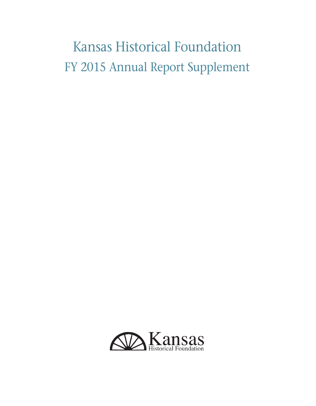# Kansas Historical Foundation FY 2015 Annual Report Supplement

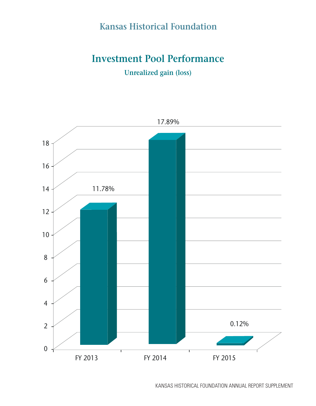## **Investment Pool Performance**

**Unrealized gain (loss)**

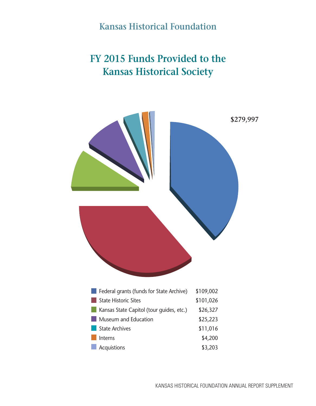## **FY 2015 Funds Provided to the Kansas Historical Society**

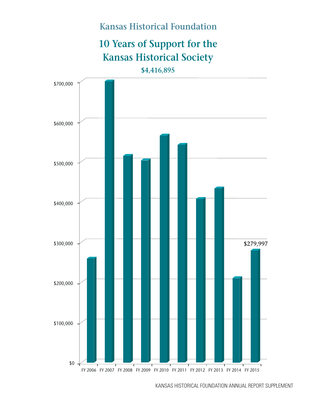# **10 Years of Support for the Kansas Historical Society**

**\$4,416,895**

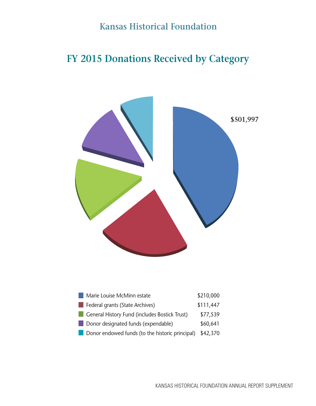## **FY 2015 Donations Received by Category**

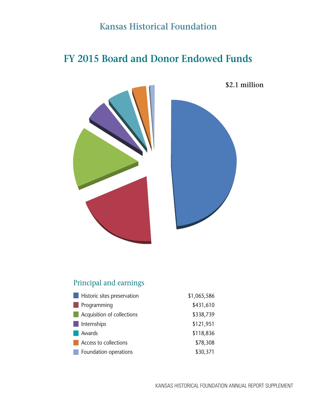## **FY 2015 Board and Donor Endowed Funds**



**\$2.1 million**



#### Principal and earnings

| Historic sites preservation | \$1,065,586 |
|-----------------------------|-------------|
| Programming                 | \$431,610   |
| Acquisition of collections  | \$338,739   |
| <b>Internships</b>          | \$121,951   |
| Awards                      | \$118,836   |
| Access to collections       | \$78,308    |
| Foundation operations       | \$30,371    |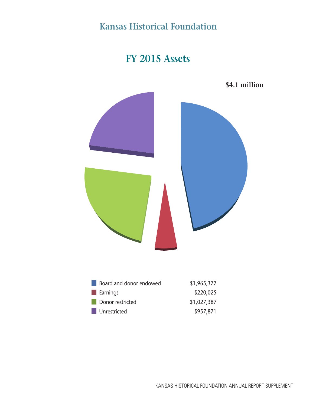## **FY 2015 Assets**



| \$4.1 million |
|---------------|
|               |

| Board and donor endowed | \$1,965,377 |
|-------------------------|-------------|
| Earnings                | \$220,025   |
| Donor restricted        | \$1,027,387 |
| Unrestricted            | \$957,871   |